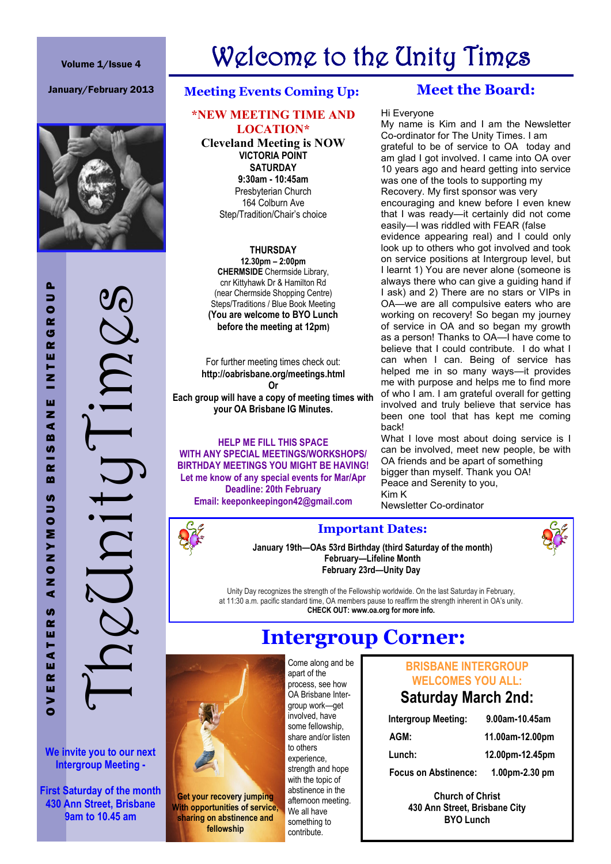#### Volume 1/Issue 4

# Welcome to the Unity Times



OVEREATERS ANONYMOUS BRISBANE INTERGROUP<br>Times and the INTERGROUP<br>Times anonymous BRISBANE INTERGROUP

**We invite you to our next Intergroup Meeting -**

**First Saturday of the month 430 Ann Street, Brisbane 9am to 10.45 am**

### January/February 2013 **Meeting Events Coming Up:**

#### **\*NEW MEETING TIME AND LOCATION\***

**Cleveland Meeting is NOW VICTORIA POINT SATURDAY 9:30am - 10:45am**  Presbyterian Church 164 Colburn Ave Step/Tradition/Chair's choice

**THURSDAY 12.30pm – 2:00pm CHERMSIDE** Chermside Library, cnr Kittyhawk Dr & Hamilton Rd (near Chermside Shopping Centre) Steps/Traditions / Blue Book Meeting **(You are welcome to BYO Lunch before the meeting at 12pm)**

For further meeting times check out: **http://oabrisbane.org/meetings.html Or Each group will have a copy of meeting times with your OA Brisbane IG Minutes.**

**HELP ME FILL THIS SPACE WITH ANY SPECIAL MEETINGS/WORKSHOPS/ BIRTHDAY MEETINGS YOU MIGHT BE HAVING! Let me know of any special events for Mar/Apr Deadline: 20th February Email: keeponkeepingon42@gmail.com**

# **Meet the Board:**

#### Hi Everyone

My name is Kim and I am the Newsletter Co-ordinator for The Unity Times. I am grateful to be of service to OA today and am glad I got involved. I came into OA over 10 years ago and heard getting into service was one of the tools to supporting my Recovery. My first sponsor was very encouraging and knew before I even knew that I was ready—it certainly did not come easily—I was riddled with FEAR (false evidence appearing real) and I could only look up to others who got involved and took on service positions at Intergroup level, but I learnt 1) You are never alone (someone is always there who can give a guiding hand if I ask) and 2) There are no stars or VIPs in OA—we are all compulsive eaters who are working on recovery! So began my journey of service in OA and so began my growth as a person! Thanks to OA—I have come to believe that I could contribute. I do what I can when I can. Being of service has helped me in so many ways—it provides me with purpose and helps me to find more of who I am. I am grateful overall for getting involved and truly believe that service has been one tool that has kept me coming back!

What I love most about doing service is I can be involved, meet new people, be with OA friends and be apart of something bigger than myself. Thank you OA! Peace and Serenity to you, Kim K Newsletter Co-ordinator

#### **Important Dates:**

**January 19th—OAs 53rd Birthday (third Saturday of the month) February—Lifeline Month February 23rd—Unity Day**

Unity Day recognizes the strength of the Fellowship worldwide. On the last Saturday in February, at 11:30 a.m. pacific standard time, OA members pause to reaffirm the strength inherent in OA's unity. **CHECK OUT: www.oa.org for more info.**

**Intergroup Corner:** 



**Get your recovery jumping With opportunities of service, sharing on abstinence and fellowship**

Come along and be apart of the process, see how OA Brisbane Intergroup work—get involved, have some fellowship, share and/or listen to others experience, strength and hope with the topic of abstinence in the afternoon meeting. We all have something to contribute.

## **BRISBANE INTERGROUP WELCOMES YOU ALL:**

# **Saturday March 2nd:**

| Intergroup Meeting:         | 9.00am-10.45am  |
|-----------------------------|-----------------|
| AGM:                        | 11.00am-12.00pm |
| Lunch:                      | 12.00pm-12.45pm |
| <b>Focus on Abstinence:</b> | 1.00pm-2.30 pm  |

**Church of Christ 430 Ann Street, Brisbane City BYO Lunch**